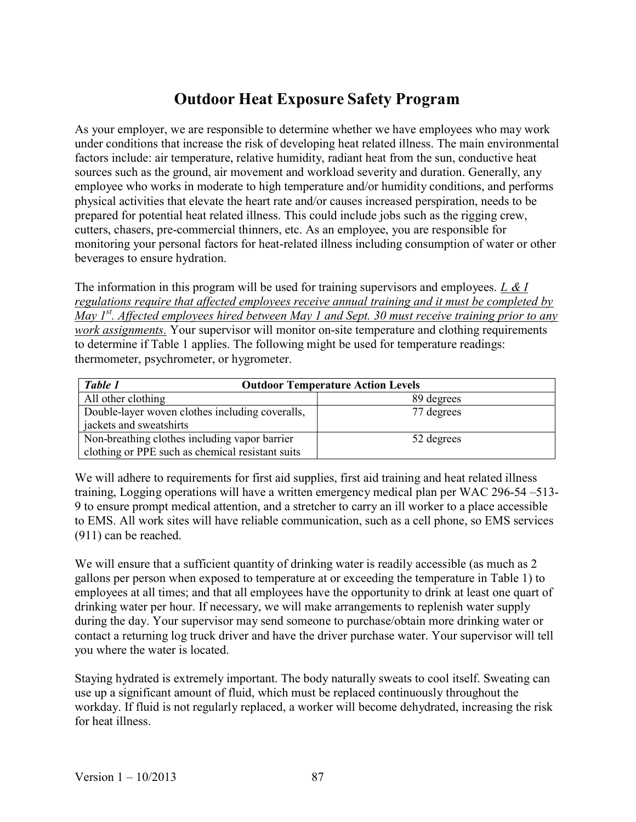## Outdoor Heat Exposure Safety Program

As your employer, we are responsible to determine whether we have employees who may work under conditions that increase the risk of developing heat related illness. The main environmental factors include: air temperature, relative humidity, radiant heat from the sun, conductive heat sources such as the ground, air movement and workload severity and duration. Generally, any employee who works in moderate to high temperature and/or humidity conditions, and performs physical activities that elevate the heart rate and/or causes increased perspiration, needs to be prepared for potential heat related illness. This could include jobs such as the rigging crew, cutters, chasers, pre-commercial thinners, etc. As an employee, you are responsible for monitoring your personal factors for heat-related illness including consumption of water or other beverages to ensure hydration.

The information in this program will be used for training supervisors and employees. L  $\& I$ regulations require that affected employees receive annual training and it must be completed by May  $I^{st}$ . Affected employees hired between May 1 and Sept. 30 must receive training prior to any work assignments. Your supervisor will monitor on-site temperature and clothing requirements to determine if Table 1 applies. The following might be used for temperature readings: thermometer, psychrometer, or hygrometer.

| Table 1<br><b>Outdoor Temperature Action Levels</b> |            |
|-----------------------------------------------------|------------|
| All other clothing                                  | 89 degrees |
| Double-layer woven clothes including coveralls,     | 77 degrees |
| jackets and sweatshirts                             |            |
| Non-breathing clothes including vapor barrier       | 52 degrees |
| clothing or PPE such as chemical resistant suits    |            |

We will adhere to requirements for first aid supplies, first aid training and heat related illness training, Logging operations will have a written emergency medical plan per WAC 296-54 –513- 9 to ensure prompt medical attention, and a stretcher to carry an ill worker to a place accessible to EMS. All work sites will have reliable communication, such as a cell phone, so EMS services (911) can be reached.

We will ensure that a sufficient quantity of drinking water is readily accessible (as much as 2) gallons per person when exposed to temperature at or exceeding the temperature in Table 1) to employees at all times; and that all employees have the opportunity to drink at least one quart of drinking water per hour. If necessary, we will make arrangements to replenish water supply during the day. Your supervisor may send someone to purchase/obtain more drinking water or contact a returning log truck driver and have the driver purchase water. Your supervisor will tell you where the water is located.

Staying hydrated is extremely important. The body naturally sweats to cool itself. Sweating can use up a significant amount of fluid, which must be replaced continuously throughout the workday. If fluid is not regularly replaced, a worker will become dehydrated, increasing the risk for heat illness.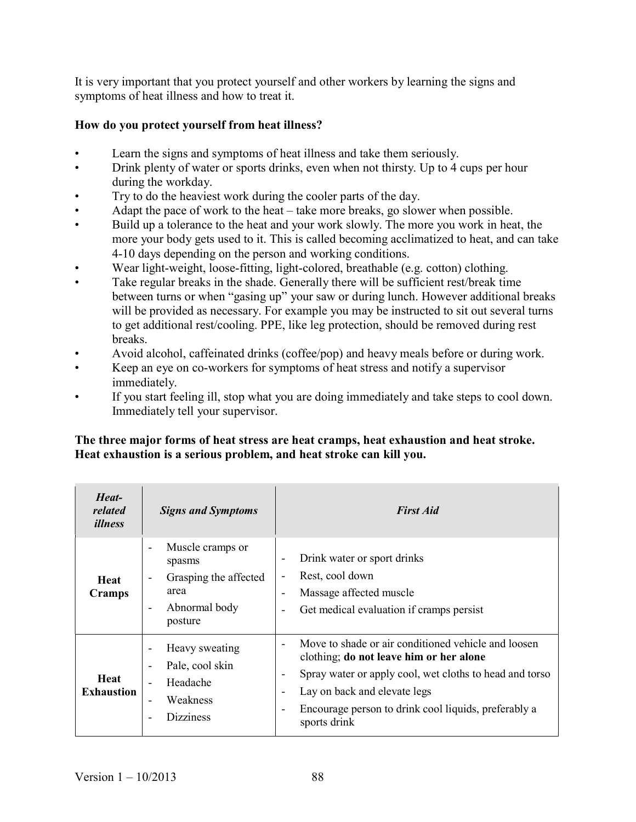It is very important that you protect yourself and other workers by learning the signs and symptoms of heat illness and how to treat it.

## How do you protect yourself from heat illness?

- Learn the signs and symptoms of heat illness and take them seriously.
- Drink plenty of water or sports drinks, even when not thirsty. Up to 4 cups per hour during the workday.
- Try to do the heaviest work during the cooler parts of the day.
- Adapt the pace of work to the heat take more breaks, go slower when possible.
- Build up a tolerance to the heat and your work slowly. The more you work in heat, the more your body gets used to it. This is called becoming acclimatized to heat, and can take 4-10 days depending on the person and working conditions.
- Wear light-weight, loose-fitting, light-colored, breathable (e.g. cotton) clothing.
- Take regular breaks in the shade. Generally there will be sufficient rest/break time between turns or when "gasing up" your saw or during lunch. However additional breaks will be provided as necessary. For example you may be instructed to sit out several turns to get additional rest/cooling. PPE, like leg protection, should be removed during rest breaks.
- Avoid alcohol, caffeinated drinks (coffee/pop) and heavy meals before or during work.
- Keep an eye on co-workers for symptoms of heat stress and notify a supervisor immediately.
- If you start feeling ill, stop what you are doing immediately and take steps to cool down. Immediately tell your supervisor.

## The three major forms of heat stress are heat cramps, heat exhaustion and heat stroke. Heat exhaustion is a serious problem, and heat stroke can kill you.

| Heat-<br>related<br><i>illness</i> | <b>Signs and Symptoms</b>                                                                                           | <b>First Aid</b>                                                                                                                                                                                                                                                                                                                                      |
|------------------------------------|---------------------------------------------------------------------------------------------------------------------|-------------------------------------------------------------------------------------------------------------------------------------------------------------------------------------------------------------------------------------------------------------------------------------------------------------------------------------------------------|
| <b>Heat</b><br>Cramps              | Muscle cramps or<br>spasms<br>Grasping the affected<br>area<br>Abnormal body<br>$\overline{\phantom{a}}$<br>posture | Drink water or sport drinks<br>$\overline{\phantom{a}}$<br>Rest, cool down<br>$\blacksquare$<br>Massage affected muscle<br>$\overline{\phantom{a}}$<br>Get medical evaluation if cramps persist                                                                                                                                                       |
| <b>Heat</b><br><b>Exhaustion</b>   | Heavy sweating<br>Pale, cool skin<br>$\overline{\phantom{a}}$<br>Headache<br>Weakness<br><b>Dizziness</b>           | Move to shade or air conditioned vehicle and loosen<br>clothing; do not leave him or her alone<br>Spray water or apply cool, wet cloths to head and torso<br>$\overline{\phantom{a}}$<br>Lay on back and elevate legs<br>$\overline{\phantom{a}}$<br>Encourage person to drink cool liquids, preferably a<br>$\overline{\phantom{a}}$<br>sports drink |